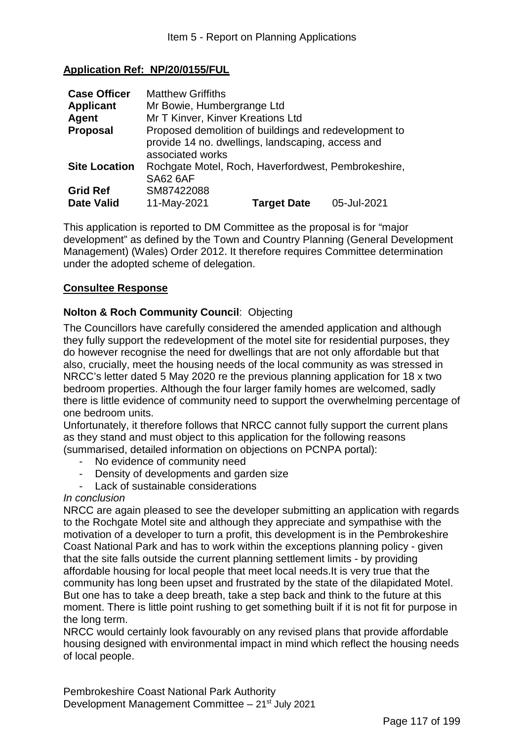# **Application Ref: NP/20/0155/FUL**

| <b>Case Officer</b>  | <b>Matthew Griffiths</b>                              |                    |             |  |  |  |
|----------------------|-------------------------------------------------------|--------------------|-------------|--|--|--|
| <b>Applicant</b>     | Mr Bowie, Humbergrange Ltd                            |                    |             |  |  |  |
| Agent                | Mr T Kinver, Kinver Kreations Ltd                     |                    |             |  |  |  |
| <b>Proposal</b>      | Proposed demolition of buildings and redevelopment to |                    |             |  |  |  |
|                      | provide 14 no. dwellings, landscaping, access and     |                    |             |  |  |  |
|                      | associated works                                      |                    |             |  |  |  |
| <b>Site Location</b> | Rochgate Motel, Roch, Haverfordwest, Pembrokeshire,   |                    |             |  |  |  |
|                      | <b>SA62 6AF</b>                                       |                    |             |  |  |  |
| <b>Grid Ref</b>      | SM87422088                                            |                    |             |  |  |  |
| <b>Date Valid</b>    | 11-May-2021                                           | <b>Target Date</b> | 05-Jul-2021 |  |  |  |

This application is reported to DM Committee as the proposal is for "major development" as defined by the Town and Country Planning (General Development Management) (Wales) Order 2012. It therefore requires Committee determination under the adopted scheme of delegation.

## **Consultee Response**

# **Nolton & Roch Community Council**: Objecting

The Councillors have carefully considered the amended application and although they fully support the redevelopment of the motel site for residential purposes, they do however recognise the need for dwellings that are not only affordable but that also, crucially, meet the housing needs of the local community as was stressed in NRCC's letter dated 5 May 2020 re the previous planning application for 18 x two bedroom properties. Although the four larger family homes are welcomed, sadly there is little evidence of community need to support the overwhelming percentage of one bedroom units.

Unfortunately, it therefore follows that NRCC cannot fully support the current plans as they stand and must object to this application for the following reasons (summarised, detailed information on objections on PCNPA portal):

- No evidence of community need
- Density of developments and garden size
- Lack of sustainable considerations

# *In conclusion*

NRCC are again pleased to see the developer submitting an application with regards to the Rochgate Motel site and although they appreciate and sympathise with the motivation of a developer to turn a profit, this development is in the Pembrokeshire Coast National Park and has to work within the exceptions planning policy - given that the site falls outside the current planning settlement limits - by providing affordable housing for local people that meet local needs.It is very true that the community has long been upset and frustrated by the state of the dilapidated Motel. But one has to take a deep breath, take a step back and think to the future at this moment. There is little point rushing to get something built if it is not fit for purpose in the long term.

NRCC would certainly look favourably on any revised plans that provide affordable housing designed with environmental impact in mind which reflect the housing needs of local people.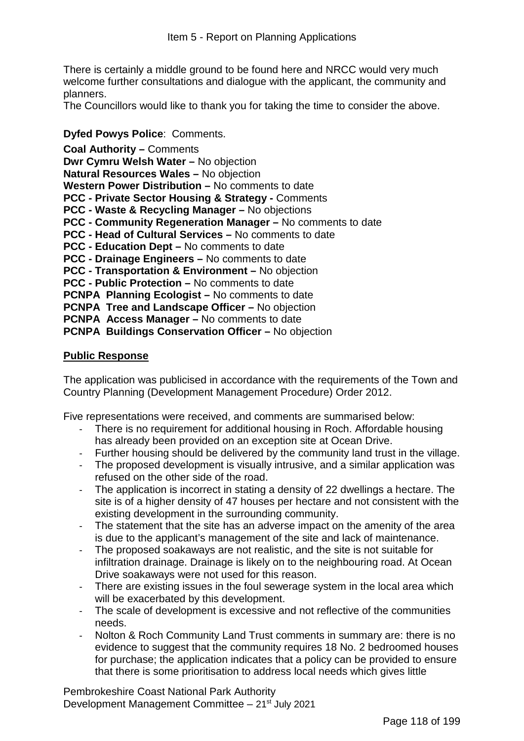There is certainly a middle ground to be found here and NRCC would very much welcome further consultations and dialogue with the applicant, the community and planners.

The Councillors would like to thank you for taking the time to consider the above.

### **Dyfed Powys Police**: Comments.

**Coal Authority –** Comments **Dwr Cymru Welsh Water –** No objection **Natural Resources Wales –** No objection **Western Power Distribution –** No comments to date **PCC - Private Sector Housing & Strategy - Comments PCC - Waste & Recycling Manager –** No objections **PCC - Community Regeneration Manager –** No comments to date **PCC - Head of Cultural Services –** No comments to date **PCC - Education Dept –** No comments to date **PCC - Drainage Engineers –** No comments to date **PCC - Transportation & Environment –** No objection **PCC - Public Protection –** No comments to date **PCNPA Planning Ecologist – No comments to date PCNPA Tree and Landscape Officer –** No objection **PCNPA Access Manager –** No comments to date **PCNPA Buildings Conservation Officer –** No objection

## **Public Response**

The application was publicised in accordance with the requirements of the Town and Country Planning (Development Management Procedure) Order 2012.

Five representations were received, and comments are summarised below:

- There is no requirement for additional housing in Roch. Affordable housing has already been provided on an exception site at Ocean Drive.
- Further housing should be delivered by the community land trust in the village.
- The proposed development is visually intrusive, and a similar application was refused on the other side of the road.
- The application is incorrect in stating a density of 22 dwellings a hectare. The site is of a higher density of 47 houses per hectare and not consistent with the existing development in the surrounding community.
- The statement that the site has an adverse impact on the amenity of the area is due to the applicant's management of the site and lack of maintenance.
- The proposed soakaways are not realistic, and the site is not suitable for infiltration drainage. Drainage is likely on to the neighbouring road. At Ocean Drive soakaways were not used for this reason.
- There are existing issues in the foul sewerage system in the local area which will be exacerbated by this development.
- The scale of development is excessive and not reflective of the communities needs.
- Nolton & Roch Community Land Trust comments in summary are: there is no evidence to suggest that the community requires 18 No. 2 bedroomed houses for purchase; the application indicates that a policy can be provided to ensure that there is some prioritisation to address local needs which gives little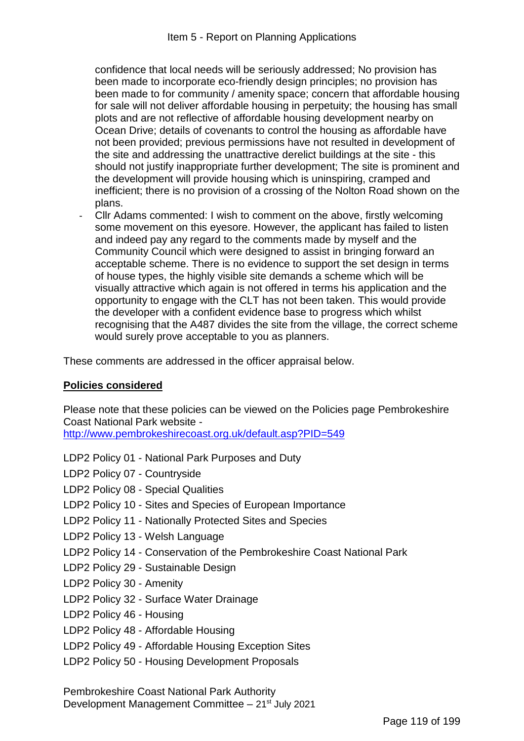confidence that local needs will be seriously addressed; No provision has been made to incorporate eco-friendly design principles; no provision has been made to for community / amenity space; concern that affordable housing for sale will not deliver affordable housing in perpetuity; the housing has small plots and are not reflective of affordable housing development nearby on Ocean Drive; details of covenants to control the housing as affordable have not been provided; previous permissions have not resulted in development of the site and addressing the unattractive derelict buildings at the site - this should not justify inappropriate further development; The site is prominent and the development will provide housing which is uninspiring, cramped and inefficient; there is no provision of a crossing of the Nolton Road shown on the plans.

Cllr Adams commented: I wish to comment on the above, firstly welcoming some movement on this eyesore. However, the applicant has failed to listen and indeed pay any regard to the comments made by myself and the Community Council which were designed to assist in bringing forward an acceptable scheme. There is no evidence to support the set design in terms of house types, the highly visible site demands a scheme which will be visually attractive which again is not offered in terms his application and the opportunity to engage with the CLT has not been taken. This would provide the developer with a confident evidence base to progress which whilst recognising that the A487 divides the site from the village, the correct scheme would surely prove acceptable to you as planners.

These comments are addressed in the officer appraisal below.

# **Policies considered**

Please note that these policies can be viewed on the Policies page Pembrokeshire Coast National Park website -

http://www.pembrokeshirecoast.org.uk/default.asp?PID=549

LDP2 Policy 01 - National Park Purposes and Duty

LDP2 Policy 07 - Countryside

LDP2 Policy 08 - Special Qualities

- LDP2 Policy 10 Sites and Species of European Importance
- LDP2 Policy 11 Nationally Protected Sites and Species
- LDP2 Policy 13 Welsh Language
- LDP2 Policy 14 Conservation of the Pembrokeshire Coast National Park
- LDP2 Policy 29 Sustainable Design
- LDP2 Policy 30 Amenity
- LDP2 Policy 32 Surface Water Drainage
- LDP2 Policy 46 Housing
- LDP2 Policy 48 Affordable Housing
- LDP2 Policy 49 Affordable Housing Exception Sites
- LDP2 Policy 50 Housing Development Proposals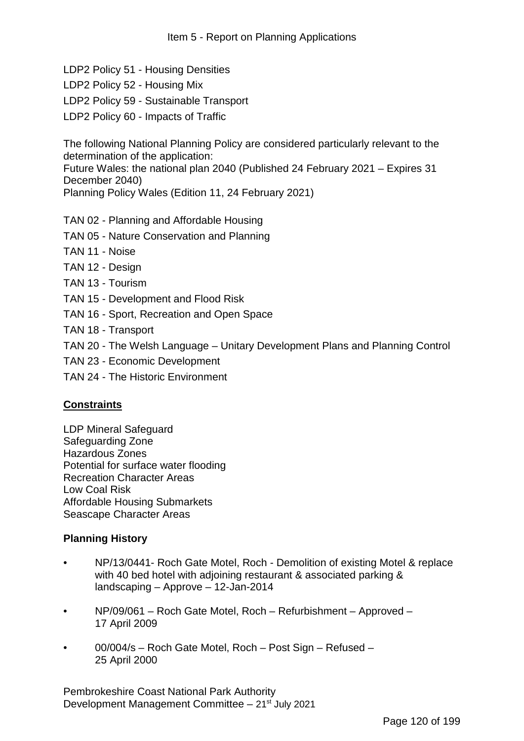LDP2 Policy 51 - Housing Densities

LDP2 Policy 52 - Housing Mix

LDP2 Policy 59 - Sustainable Transport

LDP2 Policy 60 - Impacts of Traffic

The following National Planning Policy are considered particularly relevant to the determination of the application:

Future Wales: the national plan 2040 (Published 24 February 2021 – Expires 31 December 2040)

Planning Policy Wales (Edition 11, 24 February 2021)

- TAN 02 Planning and Affordable Housing
- TAN 05 Nature Conservation and Planning
- TAN 11 Noise
- TAN 12 Design
- TAN 13 Tourism
- TAN 15 Development and Flood Risk
- TAN 16 Sport, Recreation and Open Space
- TAN 18 Transport
- TAN 20 The Welsh Language Unitary Development Plans and Planning Control
- TAN 23 Economic Development
- TAN 24 The Historic Environment

## **Constraints**

LDP Mineral Safeguard Safeguarding Zone Hazardous Zones Potential for surface water flooding Recreation Character Areas Low Coal Risk Affordable Housing Submarkets Seascape Character Areas

## **Planning History**

- NP/13/0441- Roch Gate Motel, Roch Demolition of existing Motel & replace with 40 bed hotel with adjoining restaurant & associated parking & landscaping – Approve – 12-Jan-2014
- NP/09/061 Roch Gate Motel, Roch Refurbishment Approved 17 April 2009
- 00/004/s Roch Gate Motel, Roch Post Sign Refused 25 April 2000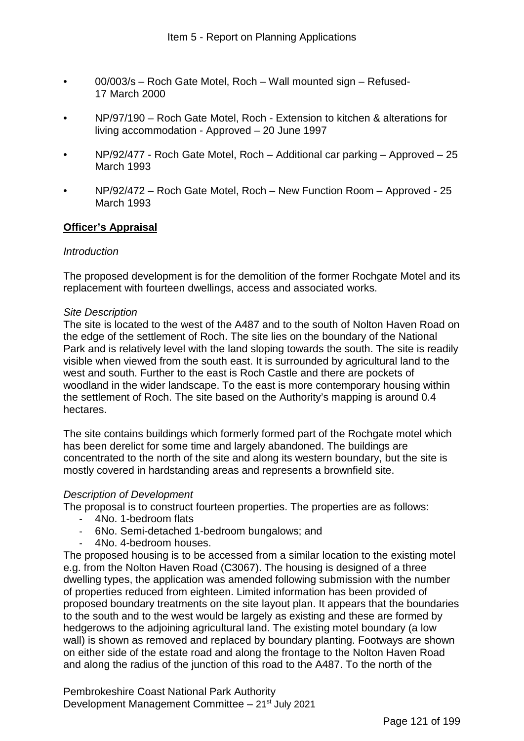- 00/003/s Roch Gate Motel, Roch Wall mounted sign Refused-17 March 2000
- NP/97/190 Roch Gate Motel, Roch Extension to kitchen & alterations for living accommodation - Approved – 20 June 1997
- NP/92/477 Roch Gate Motel, Roch Additional car parking Approved 25 March 1993
- NP/92/472 Roch Gate Motel, Roch New Function Room Approved 25 March 1993

## **Officer's Appraisal**

#### *Introduction*

The proposed development is for the demolition of the former Rochgate Motel and its replacement with fourteen dwellings, access and associated works.

#### *Site Description*

The site is located to the west of the A487 and to the south of Nolton Haven Road on the edge of the settlement of Roch. The site lies on the boundary of the National Park and is relatively level with the land sloping towards the south. The site is readily visible when viewed from the south east. It is surrounded by agricultural land to the west and south. Further to the east is Roch Castle and there are pockets of woodland in the wider landscape. To the east is more contemporary housing within the settlement of Roch. The site based on the Authority's mapping is around 0.4 hectares.

The site contains buildings which formerly formed part of the Rochgate motel which has been derelict for some time and largely abandoned. The buildings are concentrated to the north of the site and along its western boundary, but the site is mostly covered in hardstanding areas and represents a brownfield site.

#### *Description of Development*

The proposal is to construct fourteen properties. The properties are as follows:

- 4No. 1-bedroom flats
- 6No. Semi-detached 1-bedroom bungalows; and
- 4No. 4-bedroom houses.

The proposed housing is to be accessed from a similar location to the existing motel e.g. from the Nolton Haven Road (C3067). The housing is designed of a three dwelling types, the application was amended following submission with the number of properties reduced from eighteen. Limited information has been provided of proposed boundary treatments on the site layout plan. It appears that the boundaries to the south and to the west would be largely as existing and these are formed by hedgerows to the adjoining agricultural land. The existing motel boundary (a low wall) is shown as removed and replaced by boundary planting. Footways are shown on either side of the estate road and along the frontage to the Nolton Haven Road and along the radius of the junction of this road to the A487. To the north of the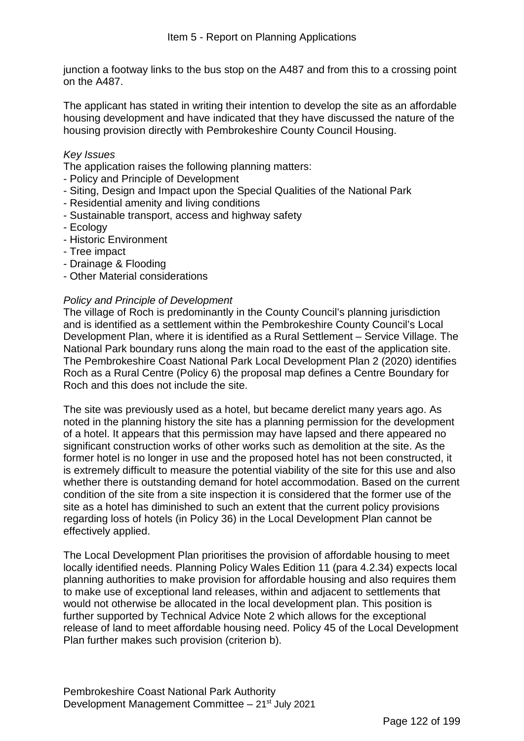junction a footway links to the bus stop on the A487 and from this to a crossing point on the A487.

The applicant has stated in writing their intention to develop the site as an affordable housing development and have indicated that they have discussed the nature of the housing provision directly with Pembrokeshire County Council Housing.

## *Key Issues*

The application raises the following planning matters:

- Policy and Principle of Development
- Siting, Design and Impact upon the Special Qualities of the National Park
- Residential amenity and living conditions
- Sustainable transport, access and highway safety
- Ecology
- Historic Environment
- Tree impact
- Drainage & Flooding
- Other Material considerations

### *Policy and Principle of Development*

The village of Roch is predominantly in the County Council's planning jurisdiction and is identified as a settlement within the Pembrokeshire County Council's Local Development Plan, where it is identified as a Rural Settlement – Service Village. The National Park boundary runs along the main road to the east of the application site. The Pembrokeshire Coast National Park Local Development Plan 2 (2020) identifies Roch as a Rural Centre (Policy 6) the proposal map defines a Centre Boundary for Roch and this does not include the site.

The site was previously used as a hotel, but became derelict many years ago. As noted in the planning history the site has a planning permission for the development of a hotel. It appears that this permission may have lapsed and there appeared no significant construction works of other works such as demolition at the site. As the former hotel is no longer in use and the proposed hotel has not been constructed, it is extremely difficult to measure the potential viability of the site for this use and also whether there is outstanding demand for hotel accommodation. Based on the current condition of the site from a site inspection it is considered that the former use of the site as a hotel has diminished to such an extent that the current policy provisions regarding loss of hotels (in Policy 36) in the Local Development Plan cannot be effectively applied.

The Local Development Plan prioritises the provision of affordable housing to meet locally identified needs. Planning Policy Wales Edition 11 (para 4.2.34) expects local planning authorities to make provision for affordable housing and also requires them to make use of exceptional land releases, within and adjacent to settlements that would not otherwise be allocated in the local development plan. This position is further supported by Technical Advice Note 2 which allows for the exceptional release of land to meet affordable housing need. Policy 45 of the Local Development Plan further makes such provision (criterion b).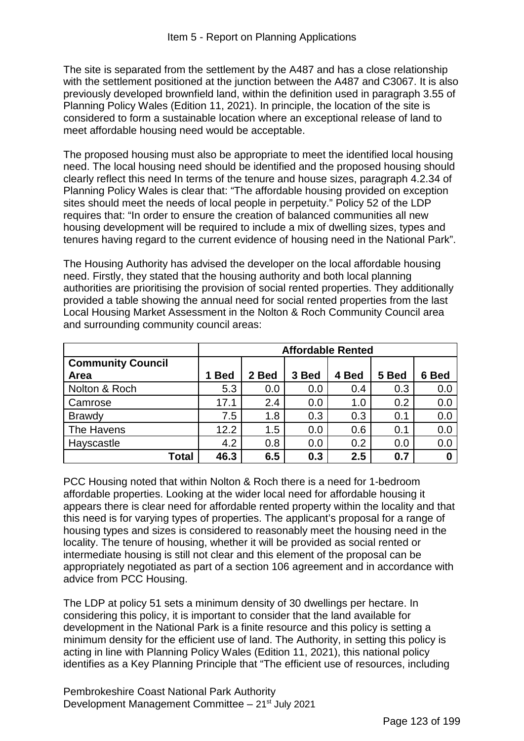The site is separated from the settlement by the A487 and has a close relationship with the settlement positioned at the junction between the A487 and C3067. It is also previously developed brownfield land, within the definition used in paragraph 3.55 of Planning Policy Wales (Edition 11, 2021). In principle, the location of the site is considered to form a sustainable location where an exceptional release of land to meet affordable housing need would be acceptable.

The proposed housing must also be appropriate to meet the identified local housing need. The local housing need should be identified and the proposed housing should clearly reflect this need In terms of the tenure and house sizes, paragraph 4.2.34 of Planning Policy Wales is clear that: "The affordable housing provided on exception sites should meet the needs of local people in perpetuity." Policy 52 of the LDP requires that: "In order to ensure the creation of balanced communities all new housing development will be required to include a mix of dwelling sizes, types and tenures having regard to the current evidence of housing need in the National Park".

The Housing Authority has advised the developer on the local affordable housing need. Firstly, they stated that the housing authority and both local planning authorities are prioritising the provision of social rented properties. They additionally provided a table showing the annual need for social rented properties from the last Local Housing Market Assessment in the Nolton & Roch Community Council area and surrounding community council areas:

|                          | <b>Affordable Rented</b> |       |       |       |       |       |  |
|--------------------------|--------------------------|-------|-------|-------|-------|-------|--|
| <b>Community Council</b> |                          |       |       |       |       |       |  |
| Area                     | <b>Bed</b>               | 2 Bed | 3 Bed | 4 Bed | 5 Bed | 6 Bed |  |
| Nolton & Roch            | 5.3                      | 0.0   | 0.0   | 0.4   | 0.3   | 0.0   |  |
| Camrose                  | 17.1                     | 2.4   | 0.0   | 1.0   | 0.2   | 0.0   |  |
| <b>Brawdy</b>            | 7.5                      | 1.8   | 0.3   | 0.3   | 0.1   | 0.0   |  |
| The Havens               | 12.2                     | 1.5   | 0.0   | 0.6   | 0.1   | 0.0   |  |
| Hayscastle               | 4.2                      | 0.8   | 0.0   | 0.2   | 0.0   | 0.0   |  |
| Total                    | 46.3                     | 6.5   | 0.3   | 2.5   | 0.7   |       |  |

PCC Housing noted that within Nolton & Roch there is a need for 1-bedroom affordable properties. Looking at the wider local need for affordable housing it appears there is clear need for affordable rented property within the locality and that this need is for varying types of properties. The applicant's proposal for a range of housing types and sizes is considered to reasonably meet the housing need in the locality. The tenure of housing, whether it will be provided as social rented or intermediate housing is still not clear and this element of the proposal can be appropriately negotiated as part of a section 106 agreement and in accordance with advice from PCC Housing.

The LDP at policy 51 sets a minimum density of 30 dwellings per hectare. In considering this policy, it is important to consider that the land available for development in the National Park is a finite resource and this policy is setting a minimum density for the efficient use of land. The Authority, in setting this policy is acting in line with Planning Policy Wales (Edition 11, 2021), this national policy identifies as a Key Planning Principle that "The efficient use of resources, including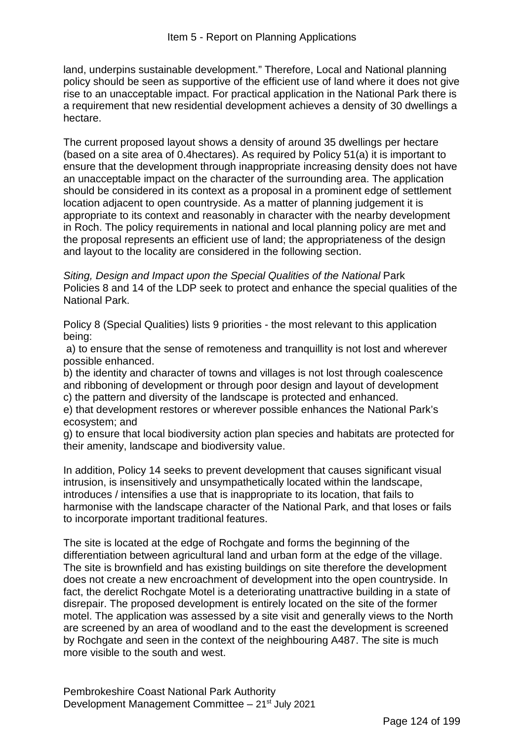land, underpins sustainable development." Therefore, Local and National planning policy should be seen as supportive of the efficient use of land where it does not give rise to an unacceptable impact. For practical application in the National Park there is a requirement that new residential development achieves a density of 30 dwellings a hectare.

The current proposed layout shows a density of around 35 dwellings per hectare (based on a site area of 0.4hectares). As required by Policy 51(a) it is important to ensure that the development through inappropriate increasing density does not have an unacceptable impact on the character of the surrounding area. The application should be considered in its context as a proposal in a prominent edge of settlement location adjacent to open countryside. As a matter of planning judgement it is appropriate to its context and reasonably in character with the nearby development in Roch. The policy requirements in national and local planning policy are met and the proposal represents an efficient use of land; the appropriateness of the design and layout to the locality are considered in the following section.

*Siting, Design and Impact upon the Special Qualities of the National* Park Policies 8 and 14 of the LDP seek to protect and enhance the special qualities of the National Park.

Policy 8 (Special Qualities) lists 9 priorities - the most relevant to this application being:

a) to ensure that the sense of remoteness and tranquillity is not lost and wherever possible enhanced.

b) the identity and character of towns and villages is not lost through coalescence and ribboning of development or through poor design and layout of development c) the pattern and diversity of the landscape is protected and enhanced.

e) that development restores or wherever possible enhances the National Park's ecosystem; and

g) to ensure that local biodiversity action plan species and habitats are protected for their amenity, landscape and biodiversity value.

In addition, Policy 14 seeks to prevent development that causes significant visual intrusion, is insensitively and unsympathetically located within the landscape, introduces / intensifies a use that is inappropriate to its location, that fails to harmonise with the landscape character of the National Park, and that loses or fails to incorporate important traditional features.

The site is located at the edge of Rochgate and forms the beginning of the differentiation between agricultural land and urban form at the edge of the village. The site is brownfield and has existing buildings on site therefore the development does not create a new encroachment of development into the open countryside. In fact, the derelict Rochgate Motel is a deteriorating unattractive building in a state of disrepair. The proposed development is entirely located on the site of the former motel. The application was assessed by a site visit and generally views to the North are screened by an area of woodland and to the east the development is screened by Rochgate and seen in the context of the neighbouring A487. The site is much more visible to the south and west.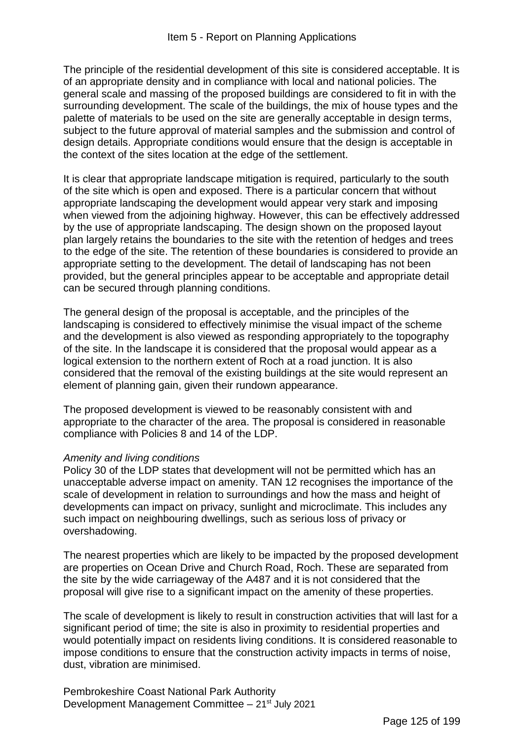The principle of the residential development of this site is considered acceptable. It is of an appropriate density and in compliance with local and national policies. The general scale and massing of the proposed buildings are considered to fit in with the surrounding development. The scale of the buildings, the mix of house types and the palette of materials to be used on the site are generally acceptable in design terms, subject to the future approval of material samples and the submission and control of design details. Appropriate conditions would ensure that the design is acceptable in the context of the sites location at the edge of the settlement.

It is clear that appropriate landscape mitigation is required, particularly to the south of the site which is open and exposed. There is a particular concern that without appropriate landscaping the development would appear very stark and imposing when viewed from the adjoining highway. However, this can be effectively addressed by the use of appropriate landscaping. The design shown on the proposed layout plan largely retains the boundaries to the site with the retention of hedges and trees to the edge of the site. The retention of these boundaries is considered to provide an appropriate setting to the development. The detail of landscaping has not been provided, but the general principles appear to be acceptable and appropriate detail can be secured through planning conditions.

The general design of the proposal is acceptable, and the principles of the landscaping is considered to effectively minimise the visual impact of the scheme and the development is also viewed as responding appropriately to the topography of the site. In the landscape it is considered that the proposal would appear as a logical extension to the northern extent of Roch at a road junction. It is also considered that the removal of the existing buildings at the site would represent an element of planning gain, given their rundown appearance.

The proposed development is viewed to be reasonably consistent with and appropriate to the character of the area. The proposal is considered in reasonable compliance with Policies 8 and 14 of the LDP.

## *Amenity and living conditions*

Policy 30 of the LDP states that development will not be permitted which has an unacceptable adverse impact on amenity. TAN 12 recognises the importance of the scale of development in relation to surroundings and how the mass and height of developments can impact on privacy, sunlight and microclimate. This includes any such impact on neighbouring dwellings, such as serious loss of privacy or overshadowing.

The nearest properties which are likely to be impacted by the proposed development are properties on Ocean Drive and Church Road, Roch. These are separated from the site by the wide carriageway of the A487 and it is not considered that the proposal will give rise to a significant impact on the amenity of these properties.

The scale of development is likely to result in construction activities that will last for a significant period of time; the site is also in proximity to residential properties and would potentially impact on residents living conditions. It is considered reasonable to impose conditions to ensure that the construction activity impacts in terms of noise, dust, vibration are minimised.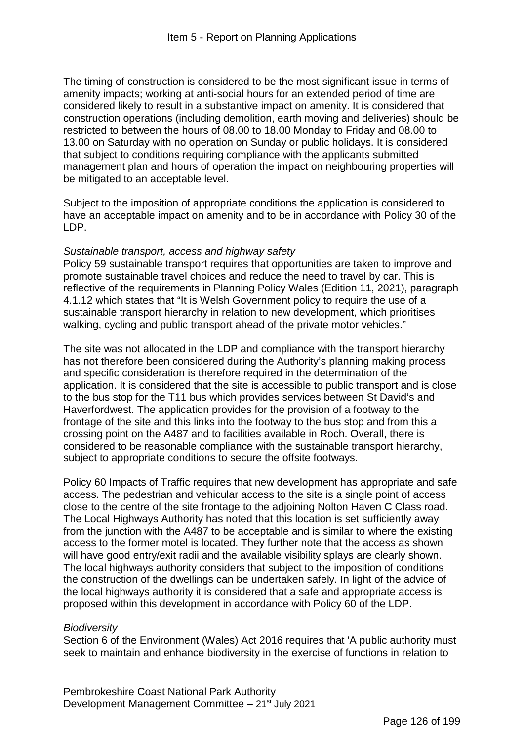The timing of construction is considered to be the most significant issue in terms of amenity impacts; working at anti-social hours for an extended period of time are considered likely to result in a substantive impact on amenity. It is considered that construction operations (including demolition, earth moving and deliveries) should be restricted to between the hours of 08.00 to 18.00 Monday to Friday and 08.00 to 13.00 on Saturday with no operation on Sunday or public holidays. It is considered that subject to conditions requiring compliance with the applicants submitted management plan and hours of operation the impact on neighbouring properties will be mitigated to an acceptable level.

Subject to the imposition of appropriate conditions the application is considered to have an acceptable impact on amenity and to be in accordance with Policy 30 of the LDP.

### *Sustainable transport, access and highway safety*

Policy 59 sustainable transport requires that opportunities are taken to improve and promote sustainable travel choices and reduce the need to travel by car. This is reflective of the requirements in Planning Policy Wales (Edition 11, 2021), paragraph 4.1.12 which states that "It is Welsh Government policy to require the use of a sustainable transport hierarchy in relation to new development, which prioritises walking, cycling and public transport ahead of the private motor vehicles."

The site was not allocated in the LDP and compliance with the transport hierarchy has not therefore been considered during the Authority's planning making process and specific consideration is therefore required in the determination of the application. It is considered that the site is accessible to public transport and is close to the bus stop for the T11 bus which provides services between St David's and Haverfordwest. The application provides for the provision of a footway to the frontage of the site and this links into the footway to the bus stop and from this a crossing point on the A487 and to facilities available in Roch. Overall, there is considered to be reasonable compliance with the sustainable transport hierarchy, subject to appropriate conditions to secure the offsite footways.

Policy 60 Impacts of Traffic requires that new development has appropriate and safe access. The pedestrian and vehicular access to the site is a single point of access close to the centre of the site frontage to the adjoining Nolton Haven C Class road. The Local Highways Authority has noted that this location is set sufficiently away from the junction with the A487 to be acceptable and is similar to where the existing access to the former motel is located. They further note that the access as shown will have good entry/exit radii and the available visibility splays are clearly shown. The local highways authority considers that subject to the imposition of conditions the construction of the dwellings can be undertaken safely. In light of the advice of the local highways authority it is considered that a safe and appropriate access is proposed within this development in accordance with Policy 60 of the LDP.

## *Biodiversity*

Section 6 of the Environment (Wales) Act 2016 requires that 'A public authority must seek to maintain and enhance biodiversity in the exercise of functions in relation to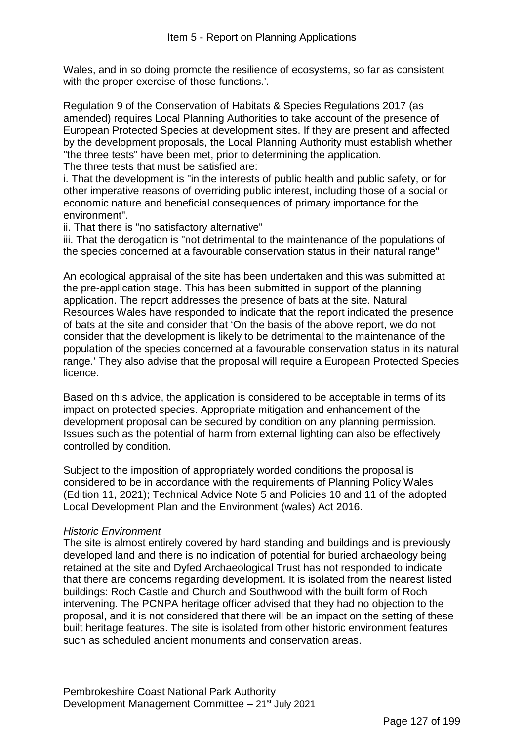Wales, and in so doing promote the resilience of ecosystems, so far as consistent with the proper exercise of those functions.'.

Regulation 9 of the Conservation of Habitats & Species Regulations 2017 (as amended) requires Local Planning Authorities to take account of the presence of European Protected Species at development sites. If they are present and affected by the development proposals, the Local Planning Authority must establish whether "the three tests" have been met, prior to determining the application. The three tests that must be satisfied are:

i. That the development is "in the interests of public health and public safety, or for other imperative reasons of overriding public interest, including those of a social or economic nature and beneficial consequences of primary importance for the environment".

ii. That there is "no satisfactory alternative"

iii. That the derogation is "not detrimental to the maintenance of the populations of the species concerned at a favourable conservation status in their natural range"

An ecological appraisal of the site has been undertaken and this was submitted at the pre-application stage. This has been submitted in support of the planning application. The report addresses the presence of bats at the site. Natural Resources Wales have responded to indicate that the report indicated the presence of bats at the site and consider that 'On the basis of the above report, we do not consider that the development is likely to be detrimental to the maintenance of the population of the species concerned at a favourable conservation status in its natural range.' They also advise that the proposal will require a European Protected Species licence.

Based on this advice, the application is considered to be acceptable in terms of its impact on protected species. Appropriate mitigation and enhancement of the development proposal can be secured by condition on any planning permission. Issues such as the potential of harm from external lighting can also be effectively controlled by condition.

Subject to the imposition of appropriately worded conditions the proposal is considered to be in accordance with the requirements of Planning Policy Wales (Edition 11, 2021); Technical Advice Note 5 and Policies 10 and 11 of the adopted Local Development Plan and the Environment (wales) Act 2016.

## *Historic Environment*

The site is almost entirely covered by hard standing and buildings and is previously developed land and there is no indication of potential for buried archaeology being retained at the site and Dyfed Archaeological Trust has not responded to indicate that there are concerns regarding development. It is isolated from the nearest listed buildings: Roch Castle and Church and Southwood with the built form of Roch intervening. The PCNPA heritage officer advised that they had no objection to the proposal, and it is not considered that there will be an impact on the setting of these built heritage features. The site is isolated from other historic environment features such as scheduled ancient monuments and conservation areas.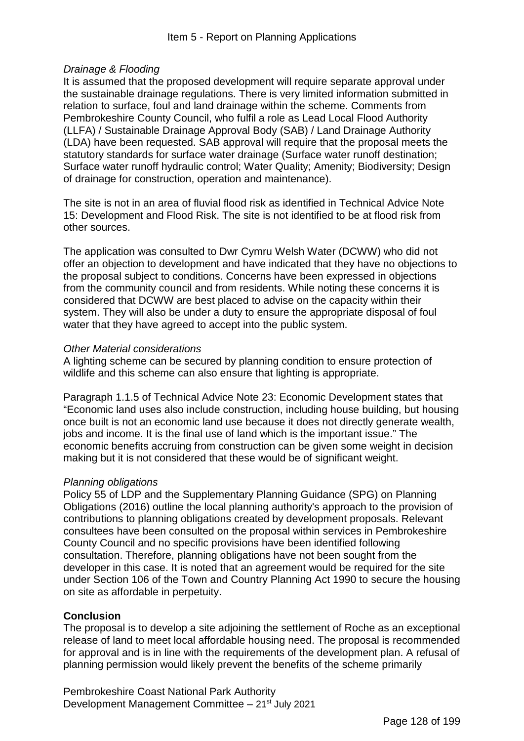## *Drainage & Flooding*

It is assumed that the proposed development will require separate approval under the sustainable drainage regulations. There is very limited information submitted in relation to surface, foul and land drainage within the scheme. Comments from Pembrokeshire County Council, who fulfil a role as Lead Local Flood Authority (LLFA) / Sustainable Drainage Approval Body (SAB) / Land Drainage Authority (LDA) have been requested. SAB approval will require that the proposal meets the statutory standards for surface water drainage (Surface water runoff destination; Surface water runoff hydraulic control; Water Quality; Amenity; Biodiversity; Design of drainage for construction, operation and maintenance).

The site is not in an area of fluvial flood risk as identified in Technical Advice Note 15: Development and Flood Risk. The site is not identified to be at flood risk from other sources.

The application was consulted to Dwr Cymru Welsh Water (DCWW) who did not offer an objection to development and have indicated that they have no objections to the proposal subject to conditions. Concerns have been expressed in objections from the community council and from residents. While noting these concerns it is considered that DCWW are best placed to advise on the capacity within their system. They will also be under a duty to ensure the appropriate disposal of foul water that they have agreed to accept into the public system.

### *Other Material considerations*

A lighting scheme can be secured by planning condition to ensure protection of wildlife and this scheme can also ensure that lighting is appropriate.

Paragraph 1.1.5 of Technical Advice Note 23: Economic Development states that "Economic land uses also include construction, including house building, but housing once built is not an economic land use because it does not directly generate wealth, jobs and income. It is the final use of land which is the important issue." The economic benefits accruing from construction can be given some weight in decision making but it is not considered that these would be of significant weight.

## *Planning obligations*

Policy 55 of LDP and the Supplementary Planning Guidance (SPG) on Planning Obligations (2016) outline the local planning authority's approach to the provision of contributions to planning obligations created by development proposals. Relevant consultees have been consulted on the proposal within services in Pembrokeshire County Council and no specific provisions have been identified following consultation. Therefore, planning obligations have not been sought from the developer in this case. It is noted that an agreement would be required for the site under Section 106 of the Town and Country Planning Act 1990 to secure the housing on site as affordable in perpetuity.

## **Conclusion**

The proposal is to develop a site adjoining the settlement of Roche as an exceptional release of land to meet local affordable housing need. The proposal is recommended for approval and is in line with the requirements of the development plan. A refusal of planning permission would likely prevent the benefits of the scheme primarily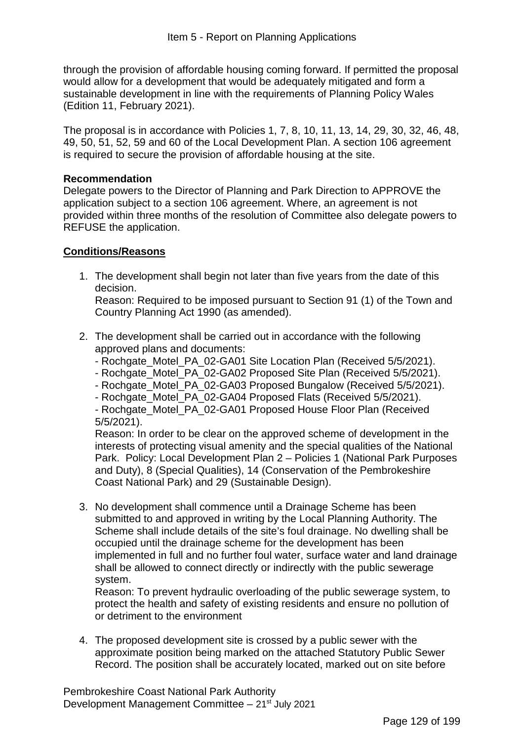through the provision of affordable housing coming forward. If permitted the proposal would allow for a development that would be adequately mitigated and form a sustainable development in line with the requirements of Planning Policy Wales (Edition 11, February 2021).

The proposal is in accordance with Policies 1, 7, 8, 10, 11, 13, 14, 29, 30, 32, 46, 48, 49, 50, 51, 52, 59 and 60 of the Local Development Plan. A section 106 agreement is required to secure the provision of affordable housing at the site.

## **Recommendation**

Delegate powers to the Director of Planning and Park Direction to APPROVE the application subject to a section 106 agreement. Where, an agreement is not provided within three months of the resolution of Committee also delegate powers to REFUSE the application.

## **Conditions/Reasons**

1. The development shall begin not later than five years from the date of this decision.

Reason: Required to be imposed pursuant to Section 91 (1) of the Town and Country Planning Act 1990 (as amended).

- 2. The development shall be carried out in accordance with the following approved plans and documents:
	- Rochgate\_Motel\_PA\_02-GA01 Site Location Plan (Received 5/5/2021).
	- Rochgate Motel PA 02-GA02 Proposed Site Plan (Received 5/5/2021).
	- Rochgate\_Motel\_PA\_02-GA03 Proposed Bungalow (Received 5/5/2021).
	- Rochgate Motel PA 02-GA04 Proposed Flats (Received 5/5/2021).

- Rochgate Motel PA\_02-GA01 Proposed House Floor Plan (Received 5/5/2021).

Reason: In order to be clear on the approved scheme of development in the interests of protecting visual amenity and the special qualities of the National Park. Policy: Local Development Plan 2 – Policies 1 (National Park Purposes and Duty), 8 (Special Qualities), 14 (Conservation of the Pembrokeshire Coast National Park) and 29 (Sustainable Design).

3. No development shall commence until a Drainage Scheme has been submitted to and approved in writing by the Local Planning Authority. The Scheme shall include details of the site's foul drainage. No dwelling shall be occupied until the drainage scheme for the development has been implemented in full and no further foul water, surface water and land drainage shall be allowed to connect directly or indirectly with the public sewerage system.

Reason: To prevent hydraulic overloading of the public sewerage system, to protect the health and safety of existing residents and ensure no pollution of or detriment to the environment

4. The proposed development site is crossed by a public sewer with the approximate position being marked on the attached Statutory Public Sewer Record. The position shall be accurately located, marked out on site before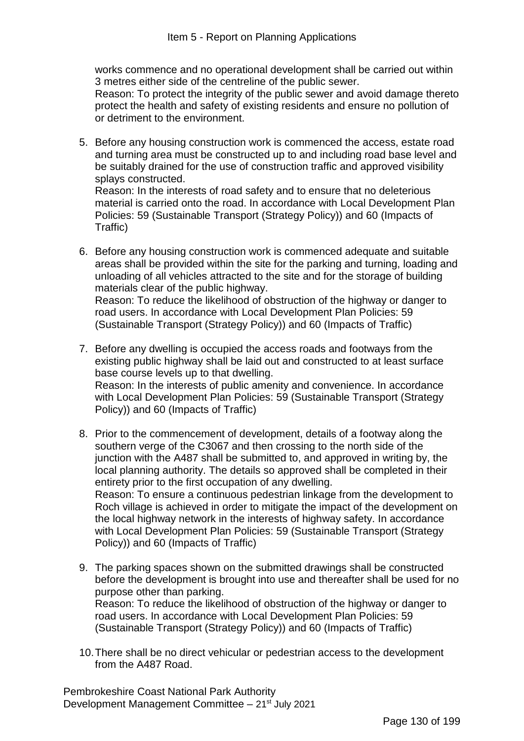works commence and no operational development shall be carried out within 3 metres either side of the centreline of the public sewer.

Reason: To protect the integrity of the public sewer and avoid damage thereto protect the health and safety of existing residents and ensure no pollution of or detriment to the environment.

5. Before any housing construction work is commenced the access, estate road and turning area must be constructed up to and including road base level and be suitably drained for the use of construction traffic and approved visibility splays constructed.

Reason: In the interests of road safety and to ensure that no deleterious material is carried onto the road. In accordance with Local Development Plan Policies: 59 (Sustainable Transport (Strategy Policy)) and 60 (Impacts of Traffic)

6. Before any housing construction work is commenced adequate and suitable areas shall be provided within the site for the parking and turning, loading and unloading of all vehicles attracted to the site and for the storage of building materials clear of the public highway. Reason: To reduce the likelihood of obstruction of the highway or danger to

road users. In accordance with Local Development Plan Policies: 59 (Sustainable Transport (Strategy Policy)) and 60 (Impacts of Traffic)

- 7. Before any dwelling is occupied the access roads and footways from the existing public highway shall be laid out and constructed to at least surface base course levels up to that dwelling. Reason: In the interests of public amenity and convenience. In accordance with Local Development Plan Policies: 59 (Sustainable Transport (Strategy Policy)) and 60 (Impacts of Traffic)
- 8. Prior to the commencement of development, details of a footway along the southern verge of the C3067 and then crossing to the north side of the junction with the A487 shall be submitted to, and approved in writing by, the local planning authority. The details so approved shall be completed in their entirety prior to the first occupation of any dwelling. Reason: To ensure a continuous pedestrian linkage from the development to Roch village is achieved in order to mitigate the impact of the development on the local highway network in the interests of highway safety. In accordance with Local Development Plan Policies: 59 (Sustainable Transport (Strategy Policy)) and 60 (Impacts of Traffic)
- 9. The parking spaces shown on the submitted drawings shall be constructed before the development is brought into use and thereafter shall be used for no purpose other than parking. Reason: To reduce the likelihood of obstruction of the highway or danger to road users. In accordance with Local Development Plan Policies: 59 (Sustainable Transport (Strategy Policy)) and 60 (Impacts of Traffic)
- 10.There shall be no direct vehicular or pedestrian access to the development from the A487 Road.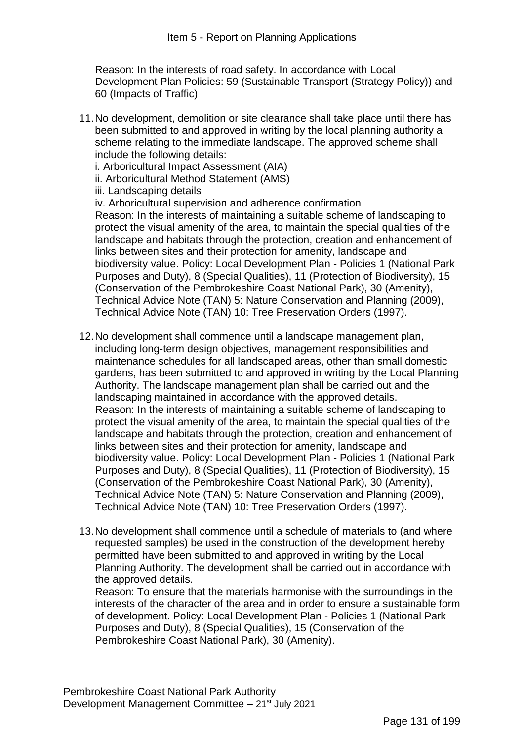Reason: In the interests of road safety. In accordance with Local Development Plan Policies: 59 (Sustainable Transport (Strategy Policy)) and 60 (Impacts of Traffic)

11.No development, demolition or site clearance shall take place until there has been submitted to and approved in writing by the local planning authority a scheme relating to the immediate landscape. The approved scheme shall include the following details:

i. Arboricultural Impact Assessment (AIA)

- ii. Arboricultural Method Statement (AMS)
- iii. Landscaping details

iv. Arboricultural supervision and adherence confirmation Reason: In the interests of maintaining a suitable scheme of landscaping to protect the visual amenity of the area, to maintain the special qualities of the landscape and habitats through the protection, creation and enhancement of links between sites and their protection for amenity, landscape and biodiversity value. Policy: Local Development Plan - Policies 1 (National Park Purposes and Duty), 8 (Special Qualities), 11 (Protection of Biodiversity), 15 (Conservation of the Pembrokeshire Coast National Park), 30 (Amenity), Technical Advice Note (TAN) 5: Nature Conservation and Planning (2009), Technical Advice Note (TAN) 10: Tree Preservation Orders (1997).

- 12.No development shall commence until a landscape management plan, including long-term design objectives, management responsibilities and maintenance schedules for all landscaped areas, other than small domestic gardens, has been submitted to and approved in writing by the Local Planning Authority. The landscape management plan shall be carried out and the landscaping maintained in accordance with the approved details. Reason: In the interests of maintaining a suitable scheme of landscaping to protect the visual amenity of the area, to maintain the special qualities of the landscape and habitats through the protection, creation and enhancement of links between sites and their protection for amenity, landscape and biodiversity value. Policy: Local Development Plan - Policies 1 (National Park Purposes and Duty), 8 (Special Qualities), 11 (Protection of Biodiversity), 15 (Conservation of the Pembrokeshire Coast National Park), 30 (Amenity), Technical Advice Note (TAN) 5: Nature Conservation and Planning (2009), Technical Advice Note (TAN) 10: Tree Preservation Orders (1997).
- 13.No development shall commence until a schedule of materials to (and where requested samples) be used in the construction of the development hereby permitted have been submitted to and approved in writing by the Local Planning Authority. The development shall be carried out in accordance with the approved details.

Reason: To ensure that the materials harmonise with the surroundings in the interests of the character of the area and in order to ensure a sustainable form of development. Policy: Local Development Plan - Policies 1 (National Park Purposes and Duty), 8 (Special Qualities), 15 (Conservation of the Pembrokeshire Coast National Park), 30 (Amenity).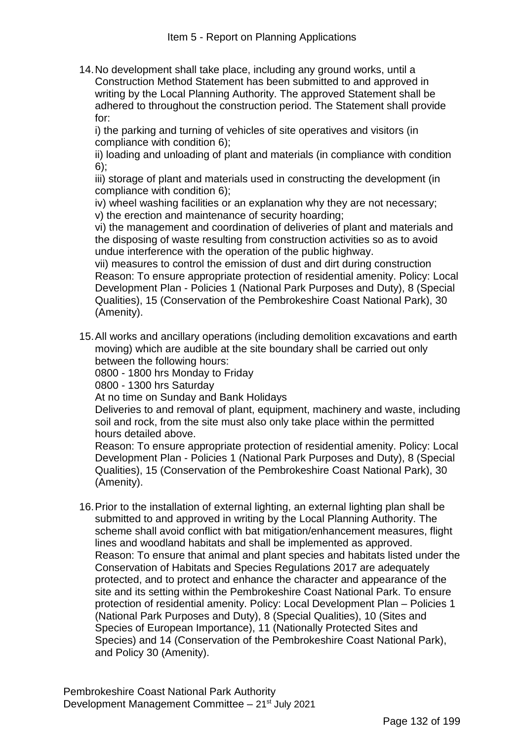14.No development shall take place, including any ground works, until a Construction Method Statement has been submitted to and approved in writing by the Local Planning Authority. The approved Statement shall be adhered to throughout the construction period. The Statement shall provide for:

i) the parking and turning of vehicles of site operatives and visitors (in compliance with condition 6);

ii) loading and unloading of plant and materials (in compliance with condition 6);

iii) storage of plant and materials used in constructing the development (in compliance with condition 6);

iv) wheel washing facilities or an explanation why they are not necessary; v) the erection and maintenance of security hoarding;

vi) the management and coordination of deliveries of plant and materials and the disposing of waste resulting from construction activities so as to avoid undue interference with the operation of the public highway.

vii) measures to control the emission of dust and dirt during construction Reason: To ensure appropriate protection of residential amenity. Policy: Local Development Plan - Policies 1 (National Park Purposes and Duty), 8 (Special Qualities), 15 (Conservation of the Pembrokeshire Coast National Park), 30 (Amenity).

15.All works and ancillary operations (including demolition excavations and earth moving) which are audible at the site boundary shall be carried out only between the following hours:

0800 - 1800 hrs Monday to Friday

0800 - 1300 hrs Saturday

At no time on Sunday and Bank Holidays

Deliveries to and removal of plant, equipment, machinery and waste, including soil and rock, from the site must also only take place within the permitted hours detailed above.

Reason: To ensure appropriate protection of residential amenity. Policy: Local Development Plan - Policies 1 (National Park Purposes and Duty), 8 (Special Qualities), 15 (Conservation of the Pembrokeshire Coast National Park), 30 (Amenity).

16.Prior to the installation of external lighting, an external lighting plan shall be submitted to and approved in writing by the Local Planning Authority. The scheme shall avoid conflict with bat mitigation/enhancement measures, flight lines and woodland habitats and shall be implemented as approved. Reason: To ensure that animal and plant species and habitats listed under the Conservation of Habitats and Species Regulations 2017 are adequately protected, and to protect and enhance the character and appearance of the site and its setting within the Pembrokeshire Coast National Park. To ensure protection of residential amenity. Policy: Local Development Plan – Policies 1 (National Park Purposes and Duty), 8 (Special Qualities), 10 (Sites and Species of European Importance), 11 (Nationally Protected Sites and Species) and 14 (Conservation of the Pembrokeshire Coast National Park), and Policy 30 (Amenity).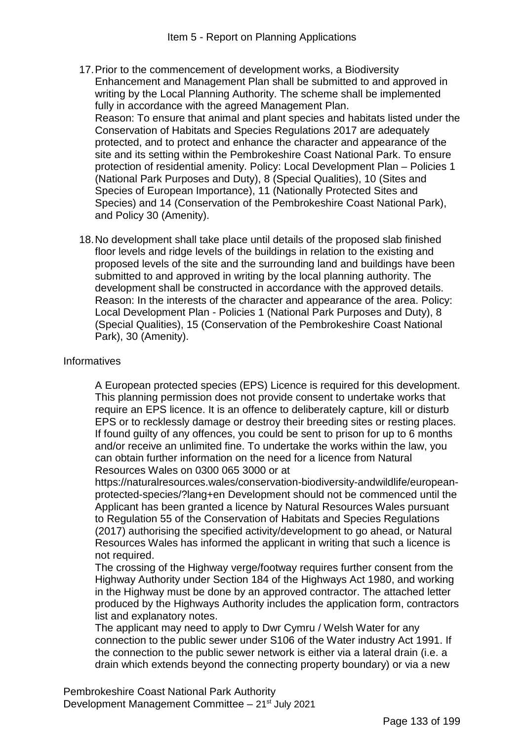- 17.Prior to the commencement of development works, a Biodiversity Enhancement and Management Plan shall be submitted to and approved in writing by the Local Planning Authority. The scheme shall be implemented fully in accordance with the agreed Management Plan. Reason: To ensure that animal and plant species and habitats listed under the Conservation of Habitats and Species Regulations 2017 are adequately protected, and to protect and enhance the character and appearance of the site and its setting within the Pembrokeshire Coast National Park. To ensure protection of residential amenity. Policy: Local Development Plan – Policies 1 (National Park Purposes and Duty), 8 (Special Qualities), 10 (Sites and Species of European Importance), 11 (Nationally Protected Sites and Species) and 14 (Conservation of the Pembrokeshire Coast National Park), and Policy 30 (Amenity).
- 18.No development shall take place until details of the proposed slab finished floor levels and ridge levels of the buildings in relation to the existing and proposed levels of the site and the surrounding land and buildings have been submitted to and approved in writing by the local planning authority. The development shall be constructed in accordance with the approved details. Reason: In the interests of the character and appearance of the area. Policy: Local Development Plan - Policies 1 (National Park Purposes and Duty), 8 (Special Qualities), 15 (Conservation of the Pembrokeshire Coast National Park), 30 (Amenity).

## Informatives

A European protected species (EPS) Licence is required for this development. This planning permission does not provide consent to undertake works that require an EPS licence. It is an offence to deliberately capture, kill or disturb EPS or to recklessly damage or destroy their breeding sites or resting places. If found guilty of any offences, you could be sent to prison for up to 6 months and/or receive an unlimited fine. To undertake the works within the law, you can obtain further information on the need for a licence from Natural Resources Wales on 0300 065 3000 or at

https://naturalresources.wales/conservation-biodiversity-andwildlife/europeanprotected-species/?lang+en Development should not be commenced until the Applicant has been granted a licence by Natural Resources Wales pursuant to Regulation 55 of the Conservation of Habitats and Species Regulations (2017) authorising the specified activity/development to go ahead, or Natural Resources Wales has informed the applicant in writing that such a licence is not required.

The crossing of the Highway verge/footway requires further consent from the Highway Authority under Section 184 of the Highways Act 1980, and working in the Highway must be done by an approved contractor. The attached letter produced by the Highways Authority includes the application form, contractors list and explanatory notes.

The applicant may need to apply to Dwr Cymru / Welsh Water for any connection to the public sewer under S106 of the Water industry Act 1991. If the connection to the public sewer network is either via a lateral drain (i.e. a drain which extends beyond the connecting property boundary) or via a new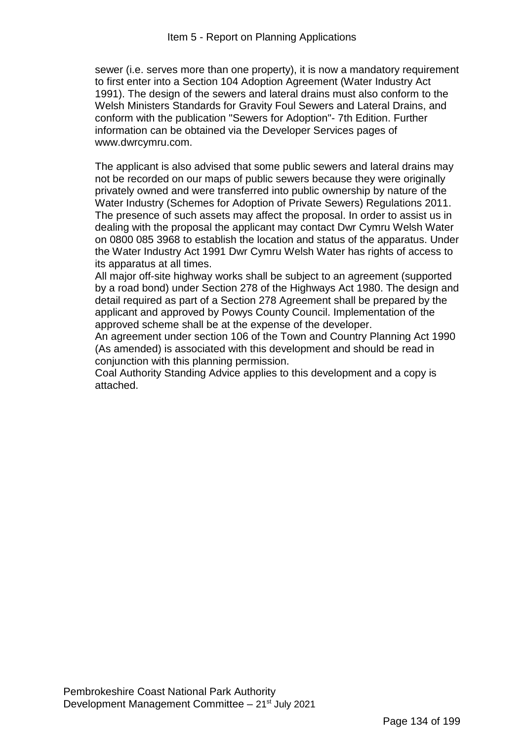sewer (i.e. serves more than one property), it is now a mandatory requirement to first enter into a Section 104 Adoption Agreement (Water Industry Act 1991). The design of the sewers and lateral drains must also conform to the Welsh Ministers Standards for Gravity Foul Sewers and Lateral Drains, and conform with the publication "Sewers for Adoption"- 7th Edition. Further information can be obtained via the Developer Services pages of www.dwrcymru.com.

The applicant is also advised that some public sewers and lateral drains may not be recorded on our maps of public sewers because they were originally privately owned and were transferred into public ownership by nature of the Water Industry (Schemes for Adoption of Private Sewers) Regulations 2011. The presence of such assets may affect the proposal. In order to assist us in dealing with the proposal the applicant may contact Dwr Cymru Welsh Water on 0800 085 3968 to establish the location and status of the apparatus. Under the Water Industry Act 1991 Dwr Cymru Welsh Water has rights of access to its apparatus at all times.

All major off-site highway works shall be subject to an agreement (supported by a road bond) under Section 278 of the Highways Act 1980. The design and detail required as part of a Section 278 Agreement shall be prepared by the applicant and approved by Powys County Council. Implementation of the approved scheme shall be at the expense of the developer.

An agreement under section 106 of the Town and Country Planning Act 1990 (As amended) is associated with this development and should be read in conjunction with this planning permission.

Coal Authority Standing Advice applies to this development and a copy is attached.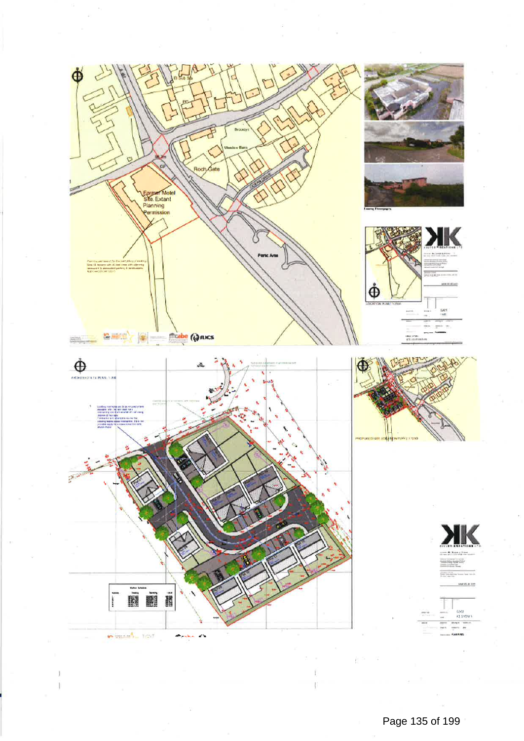

Page 135 of 199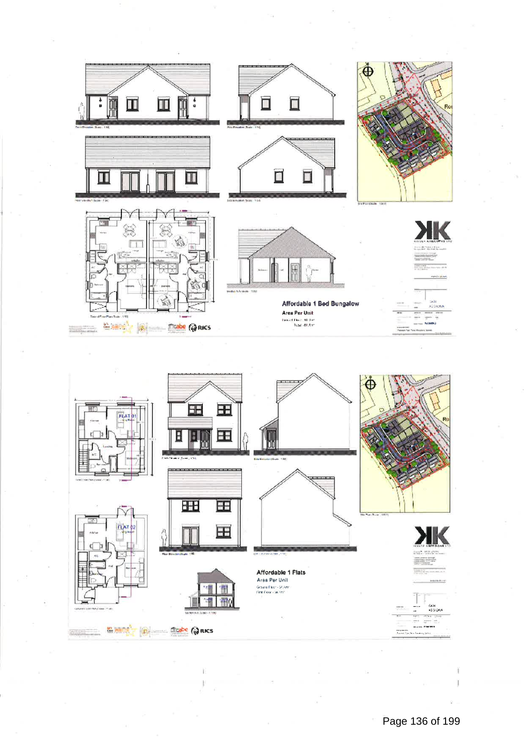